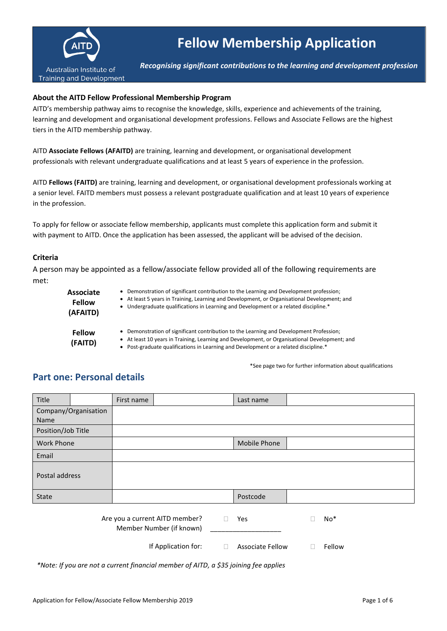

# **Fellow Membership Application**

*Recognising significant contributions to the learning and development profession*

#### **About the AITD Fellow Professional Membership Program**

AITD's membership pathway aims to recognise the knowledge, skills, experience and achievements of the training, learning and development and organisational development professions. Fellows and Associate Fellows are the highest tiers in the AITD membership pathway.

AITD **Associate Fellows (AFAITD)** are training, learning and development, or organisational development professionals with relevant undergraduate qualifications and at least 5 years of experience in the profession.

AITD **Fellows (FAITD)** are training, learning and development, or organisational development professionals working at a senior level. FAITD members must possess a relevant postgraduate qualification and at least 10 years of experience in the profession.

To apply for fellow or associate fellow membership, applicants must complete this application form and submit it with payment to AITD. Once the application has been assessed, the applicant will be advised of the decision.

#### **Criteria**

A person may be appointed as a fellow/associate fellow provided all of the following requirements are met:

| <b>Associate</b>         | • Demonstration of significant contribution to the Learning and Development profession;                                                                                                                                                                                          |
|--------------------------|----------------------------------------------------------------------------------------------------------------------------------------------------------------------------------------------------------------------------------------------------------------------------------|
| <b>Fellow</b>            | • At least 5 years in Training, Learning and Development, or Organisational Development; and                                                                                                                                                                                     |
| (AFAITD)                 | • Undergraduate qualifications in Learning and Development or a related discipline.*                                                                                                                                                                                             |
| <b>Fellow</b><br>(FAITD) | • Demonstration of significant contribution to the Learning and Development Profession;<br>• At least 10 years in Training, Learning and Development, or Organisational Development; and<br>• Post-graduate qualifications in Learning and Development or a related discipline.* |

\*See page two for further information about qualifications

#### **Part one: Personal details**

| Title              |                      | First name |                                                            |        | Last name               |   |        |  |
|--------------------|----------------------|------------|------------------------------------------------------------|--------|-------------------------|---|--------|--|
| Name               | Company/Organisation |            |                                                            |        |                         |   |        |  |
| Position/Job Title |                      |            |                                                            |        |                         |   |        |  |
| <b>Work Phone</b>  |                      |            |                                                            |        | <b>Mobile Phone</b>     |   |        |  |
| Email              |                      |            |                                                            |        |                         |   |        |  |
| Postal address     |                      |            |                                                            |        |                         |   |        |  |
| State              |                      |            |                                                            |        | Postcode                |   |        |  |
|                    |                      |            | Are you a current AITD member?<br>Member Number (if known) | Л      | Yes                     | О | No*    |  |
|                    |                      |            | If Application for:                                        | $\Box$ | <b>Associate Fellow</b> |   | Fellow |  |

*\*Note: If you are not a current financial member of AITD, a \$35 joining fee applies*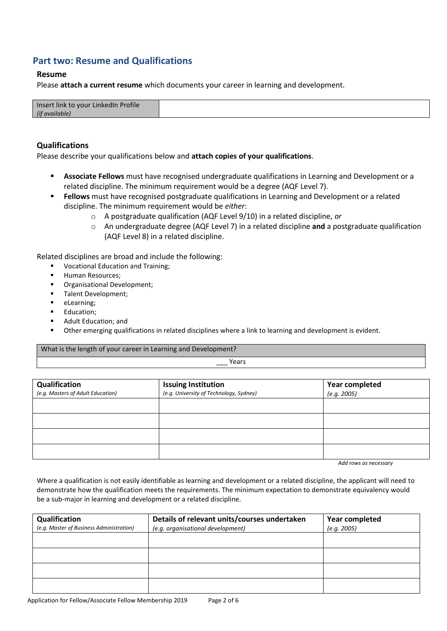# **Part two: Resume and Qualifications**

#### **Resume**

Please **attach a current resume** which documents your career in learning and development.

#### **Qualifications**

Please describe your qualifications below and **attach copies of your qualifications**.

- **EXEDENTIFY Associate Fellows** must have recognised undergraduate qualifications in Learning and Development or a related discipline. The minimum requirement would be a degree (AQF Level 7).
- **Eellows** must have recognised postgraduate qualifications in Learning and Development or a related discipline. The minimum requirement would be *either*:
	- o A postgraduate qualification (AQF Level 9/10) in a related discipline, *or*
	- o An undergraduate degree (AQF Level 7) in a related discipline **and** a postgraduate qualification (AQF Level 8) in a related discipline.

Related disciplines are broad and include the following:

- Vocational Education and Training;
- **■** Human Resources:
- Organisational Development;
- Talent Development;
- eLearning:
- Education;
- Adult Education; and
- Other emerging qualifications in related disciplines where a link to learning and development is evident.

What is the length of your career in Learning and Development?

**Years** 

| Qualification<br>(e.g. Masters of Adult Education) | <b>Issuing Institution</b><br>(e.g. University of Technology, Sydney) | <b>Year completed</b><br>(e.g. 2005) |
|----------------------------------------------------|-----------------------------------------------------------------------|--------------------------------------|
|                                                    |                                                                       |                                      |
|                                                    |                                                                       |                                      |
|                                                    |                                                                       |                                      |
|                                                    |                                                                       |                                      |

*Add rows as necessary*

Where a qualification is not easily identifiable as learning and development or a related discipline, the applicant will need to demonstrate how the qualification meets the requirements. The minimum expectation to demonstrate equivalency would be a sub-major in learning and development or a related discipline.

| Qualification                            | Details of relevant units/courses undertaken | Year completed |
|------------------------------------------|----------------------------------------------|----------------|
| (e.g. Master of Business Administration) | (e.g. organisational development)            | (e.g. 2005)    |
|                                          |                                              |                |
|                                          |                                              |                |
|                                          |                                              |                |
|                                          |                                              |                |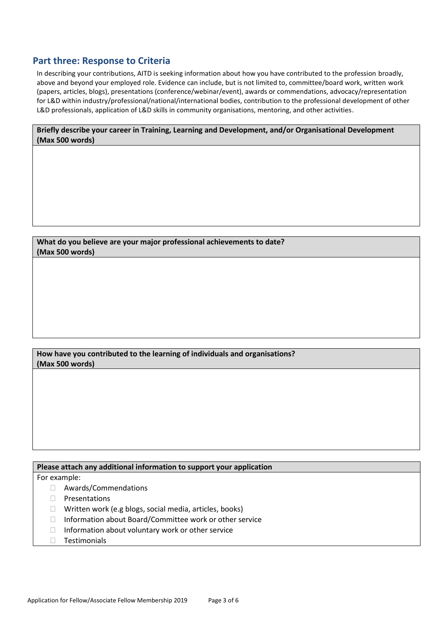## **Part three: Response to Criteria**

In describing your contributions, AITD is seeking information about how you have contributed to the profession broadly, above and beyond your employed role. Evidence can include, but is not limited to, committee/board work, written work (papers, articles, blogs), presentations (conference/webinar/event), awards or commendations, advocacy/representation for L&D within industry/professional/national/international bodies, contribution to the professional development of other L&D professionals, application of L&D skills in community organisations, mentoring, and other activities.

**Briefly describe your career in Training, Learning and Development, and/or Organisational Development (Max 500 words)**

**What do you believe are your major professional achievements to date? (Max 500 words)**

**How have you contributed to the learning of individuals and organisations? (Max 500 words)**

**Please attach any additional information to support your application**

For example:

- Awards/Commendations
- $\Box$  Presentations
- □ Written work (e.g blogs, social media, articles, books)
- □ Information about Board/Committee work or other service
- $\Box$  Information about voluntary work or other service
- $\Box$  Testimonials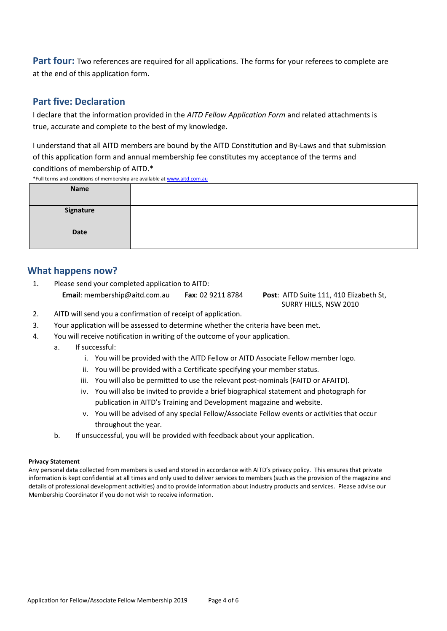Part four: Two references are required for all applications. The forms for your referees to complete are at the end of this application form.

## **Part five: Declaration**

I declare that the information provided in the *AITD Fellow Application Form* and related attachments is true, accurate and complete to the best of my knowledge.

I understand that all AITD members are bound by the AITD Constitution and By-Laws and that submission of this application form and annual membership fee constitutes my acceptance of the terms and conditions of membership of AITD.\*

\*Full terms and conditions of membership are available a[t www.aitd.com.au](http://www.aitd.com.au/)

| Ten terms and conditions of international are available at www.arta.com.ag |  |  |  |
|----------------------------------------------------------------------------|--|--|--|
| Name                                                                       |  |  |  |
| Signature                                                                  |  |  |  |
| Date                                                                       |  |  |  |

## **What happens now?**

1. Please send your completed application to AITD: **Email**: membership@aitd.com.au **Fax**: 02 9211 8784 **Post**: AITD Suite 111, 410 Elizabeth St,

SURRY HILLS, NSW 2010

- 2. AITD will send you a confirmation of receipt of application.
- 3. Your application will be assessed to determine whether the criteria have been met.
- 4. You will receive notification in writing of the outcome of your application.
	- a. If successful:
		- i. You will be provided with the AITD Fellow or AITD Associate Fellow member logo.
		- ii. You will be provided with a Certificate specifying your member status.
		- iii. You will also be permitted to use the relevant post-nominals (FAITD or AFAITD).
		- iv. You will also be invited to provide a brief biographical statement and photograph for publication in AITD's Training and Development magazine and website.
		- v. You will be advised of any special Fellow/Associate Fellow events or activities that occur throughout the year.
	- b. If unsuccessful, you will be provided with feedback about your application.

#### **Privacy Statement**

Any personal data collected from members is used and stored in accordance with AITD's privacy policy. This ensures that private information is kept confidential at all times and only used to deliver services to members (such as the provision of the magazine and details of professional development activities) and to provide information about industry products and services. Please advise our Membership Coordinator if you do not wish to receive information.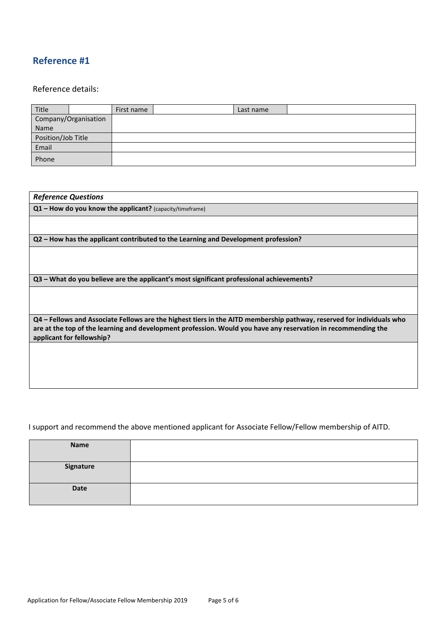# **Reference #1**

#### Reference details:

| Title              |                      | First name | Last name |  |
|--------------------|----------------------|------------|-----------|--|
|                    | Company/Organisation |            |           |  |
| Name               |                      |            |           |  |
| Position/Job Title |                      |            |           |  |
| Email              |                      |            |           |  |
| Phone              |                      |            |           |  |

| <b>Reference Questions</b>                                                                                                                                                                                                                                          |
|---------------------------------------------------------------------------------------------------------------------------------------------------------------------------------------------------------------------------------------------------------------------|
| $Q1$ – How do you know the applicant? (capacity/timeframe)                                                                                                                                                                                                          |
|                                                                                                                                                                                                                                                                     |
| Q2 – How has the applicant contributed to the Learning and Development profession?                                                                                                                                                                                  |
|                                                                                                                                                                                                                                                                     |
|                                                                                                                                                                                                                                                                     |
| Q3 – What do you believe are the applicant's most significant professional achievements?                                                                                                                                                                            |
|                                                                                                                                                                                                                                                                     |
|                                                                                                                                                                                                                                                                     |
| Q4 – Fellows and Associate Fellows are the highest tiers in the AITD membership pathway, reserved for individuals who<br>are at the top of the learning and development profession. Would you have any reservation in recommending the<br>applicant for fellowship? |
|                                                                                                                                                                                                                                                                     |
|                                                                                                                                                                                                                                                                     |
|                                                                                                                                                                                                                                                                     |

## I support and recommend the above mentioned applicant for Associate Fellow/Fellow membership of AITD.

| Name      |  |
|-----------|--|
| Signature |  |
| Date      |  |